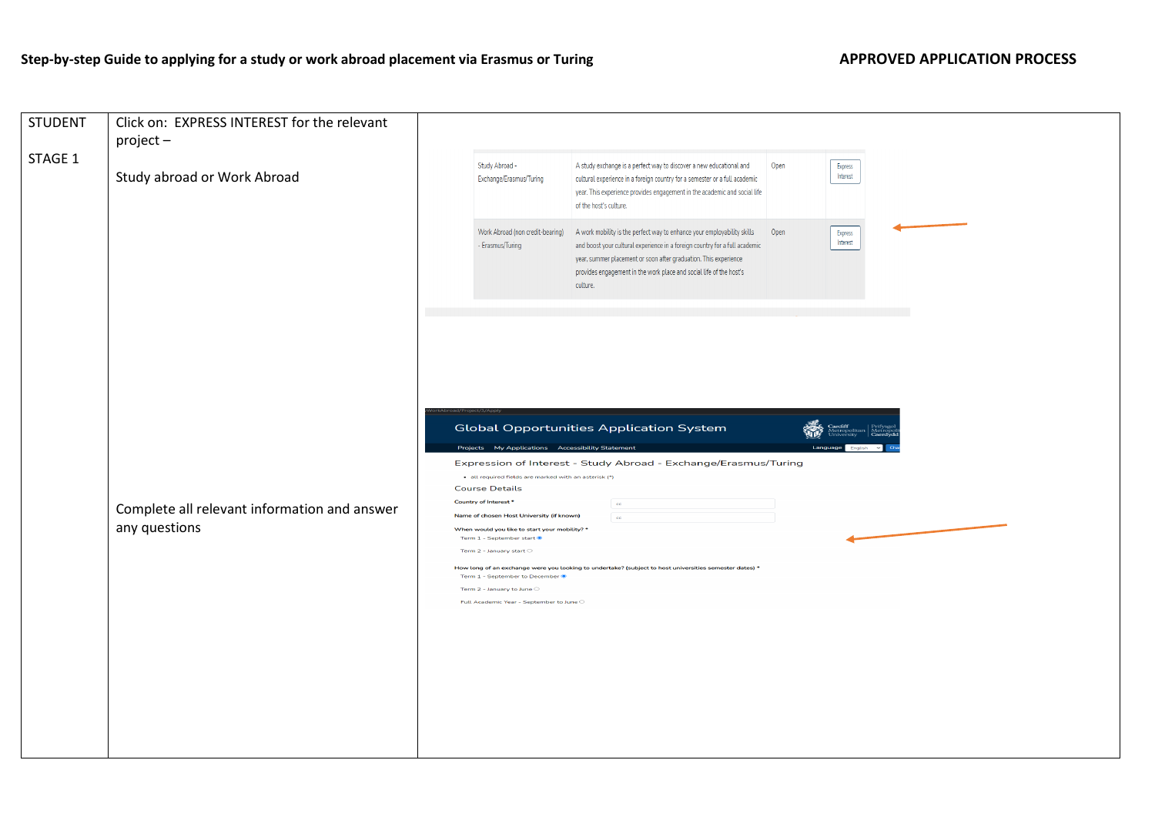## Step-by-step Guide to applying for a study or work abroad placement via Erasmus or Turing **APPROVED APPLICATION PROCESS**

| <b>STUDENT</b> | Click on: EXPRESS INTEREST for the relevant<br>$project -$    |                                                                                                                                                                                                                                                                                                                                                                                                                                                                                                                                                                                                                                                                                                                                          |                             |  |
|----------------|---------------------------------------------------------------|------------------------------------------------------------------------------------------------------------------------------------------------------------------------------------------------------------------------------------------------------------------------------------------------------------------------------------------------------------------------------------------------------------------------------------------------------------------------------------------------------------------------------------------------------------------------------------------------------------------------------------------------------------------------------------------------------------------------------------------|-----------------------------|--|
| STAGE 1        | Study abroad or Work Abroad                                   | Study Abroad -<br>A study exchange is a perfect way to discover a new educational and<br>Exchange/Erasmus/Turing<br>cultural experience in a foreign country for a semester or a full academic<br>year. This experience provides engagement in the academic and social life<br>of the host's culture.                                                                                                                                                                                                                                                                                                                                                                                                                                    | Open<br>Express<br>Interest |  |
|                |                                                               | Work Abroad (non credit-bearing)<br>A work mobility is the perfect way to enhance your employability skills<br>- Erasmus/Turing<br>and boost your cultural experience in a foreign country for a full academic<br>year, summer placement or soon after graduation. This experience<br>provides engagement in the work place and social life of the host's<br>culture.                                                                                                                                                                                                                                                                                                                                                                    | Open<br>Express<br>Interest |  |
|                | Complete all relevant information and answer<br>any questions | <b>Global Opportunities Application System</b><br>Projects My Applications Accessibility Statement<br>Expression of Interest - Study Abroad - Exchange/Erasmus/Turing<br>· all required fields are marked with an asterisk (*)<br><b>Course Details</b><br>Country of Interest *<br>$_{\rm cc}$<br>Name of chosen Host University (if known)<br><b>cc</b><br>When would you like to start your mobility? *<br>Term $1$ - September start $\bullet$<br>Term 2 - January start $\circlearrowright$<br>How long of an exchange were you looking to undertake? (subject to host universities semester dates) *<br>Term 1 - September to December<br>Term 2 - January to June $\circlearrowright$<br>Full Academic Year - September to June O | Langu                       |  |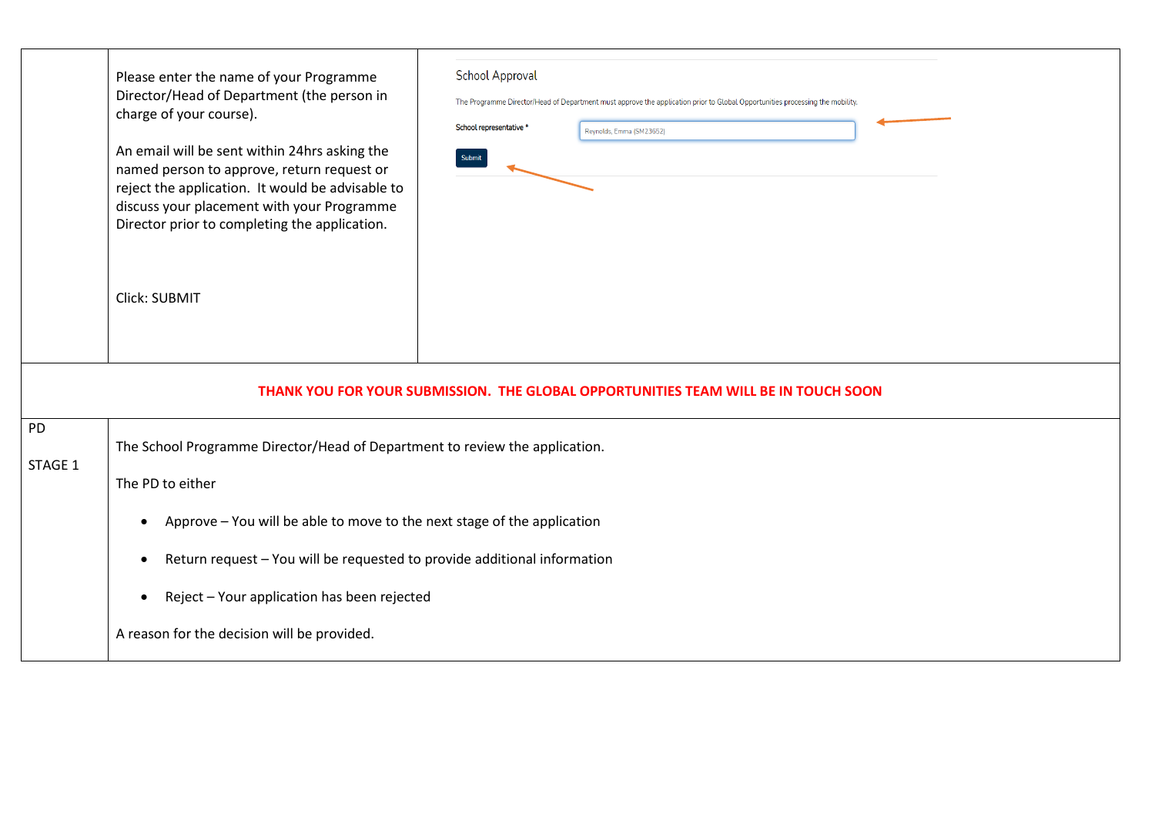|                      | <b>School Approval</b><br>Please enter the name of your Programme<br>Director/Head of Department (the person in<br>The Programme Director/Head of Department must approve the application prior to Global Opportunities processing the mobility.<br>charge of your course).<br>School representative *<br>Reynolds, Emma (SM23652)<br>An email will be sent within 24hrs asking the<br>Submit<br>named person to approve, return request or<br>reject the application. It would be advisable to<br>discuss your placement with your Programme<br>Director prior to completing the application.<br>Click: SUBMIT |  |  |  |  |  |  |
|----------------------|-----------------------------------------------------------------------------------------------------------------------------------------------------------------------------------------------------------------------------------------------------------------------------------------------------------------------------------------------------------------------------------------------------------------------------------------------------------------------------------------------------------------------------------------------------------------------------------------------------------------|--|--|--|--|--|--|
|                      | THANK YOU FOR YOUR SUBMISSION. THE GLOBAL OPPORTUNITIES TEAM WILL BE IN TOUCH SOON                                                                                                                                                                                                                                                                                                                                                                                                                                                                                                                              |  |  |  |  |  |  |
| <b>PD</b><br>STAGE 1 | The School Programme Director/Head of Department to review the application.<br>The PD to either<br>Approve - You will be able to move to the next stage of the application<br>Return request - You will be requested to provide additional information<br>Reject - Your application has been rejected<br>$\bullet$<br>A reason for the decision will be provided.                                                                                                                                                                                                                                               |  |  |  |  |  |  |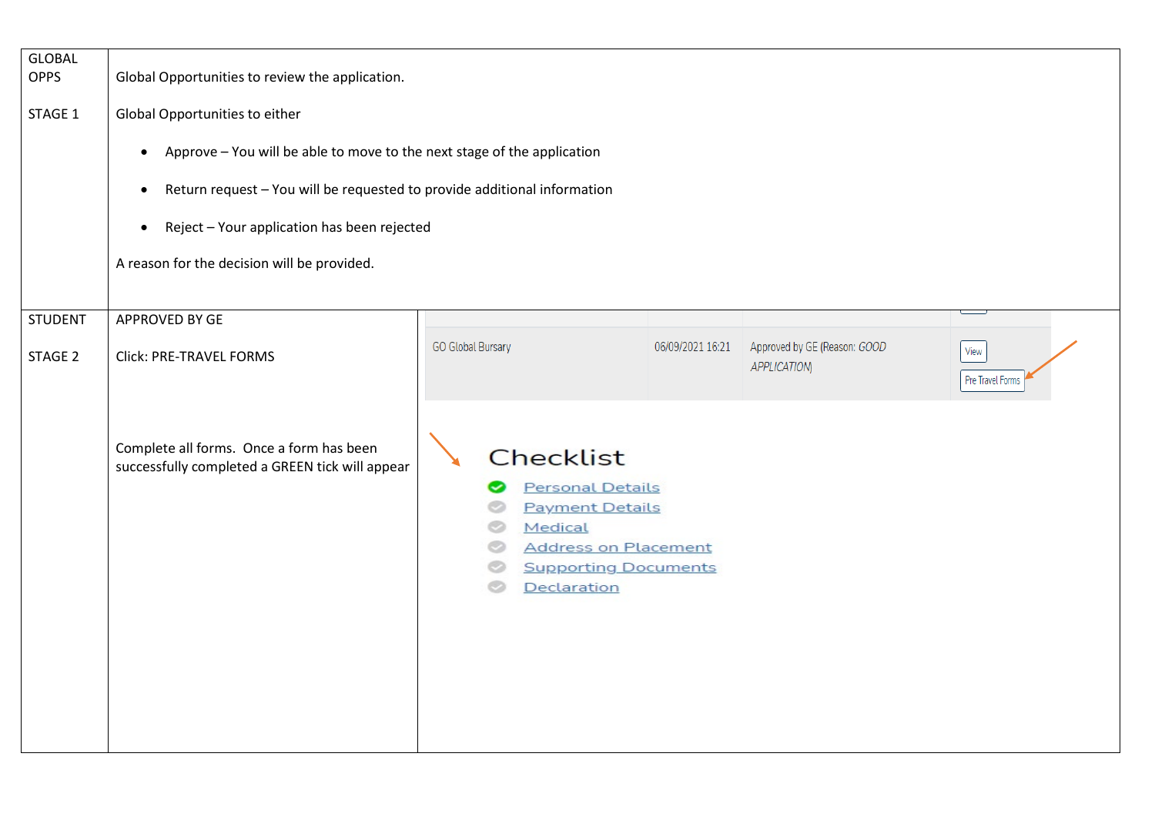| <b>GLOBAL</b><br><b>OPPS</b><br>STAGE 1 | Global Opportunities to review the application.<br>Global Opportunities to either<br>Approve - You will be able to move to the next stage of the application<br>$\bullet$<br>Return request - You will be requested to provide additional information<br>$\bullet$<br>Reject - Your application has been rejected<br>$\bullet$ |                                                                                                 |                                                            |                                                    |                          |
|-----------------------------------------|--------------------------------------------------------------------------------------------------------------------------------------------------------------------------------------------------------------------------------------------------------------------------------------------------------------------------------|-------------------------------------------------------------------------------------------------|------------------------------------------------------------|----------------------------------------------------|--------------------------|
|                                         | A reason for the decision will be provided.                                                                                                                                                                                                                                                                                    |                                                                                                 |                                                            |                                                    |                          |
| <b>STUDENT</b>                          | APPROVED BY GE                                                                                                                                                                                                                                                                                                                 |                                                                                                 |                                                            |                                                    |                          |
| STAGE 2                                 | Click: PRE-TRAVEL FORMS                                                                                                                                                                                                                                                                                                        | <b>GO Global Bursary</b>                                                                        | 06/09/2021 16:21                                           | Approved by GE (Reason: GOOD<br><b>APPLICATION</b> | View<br>Pre Travel Forms |
|                                         | Complete all forms. Once a form has been<br>successfully completed a GREEN tick will appear                                                                                                                                                                                                                                    | <b>Checklist</b><br><b>Personal Details</b><br><b>Payment Details</b><br>Medical<br>Declaration | <b>Address on Placement</b><br><b>Supporting Documents</b> |                                                    |                          |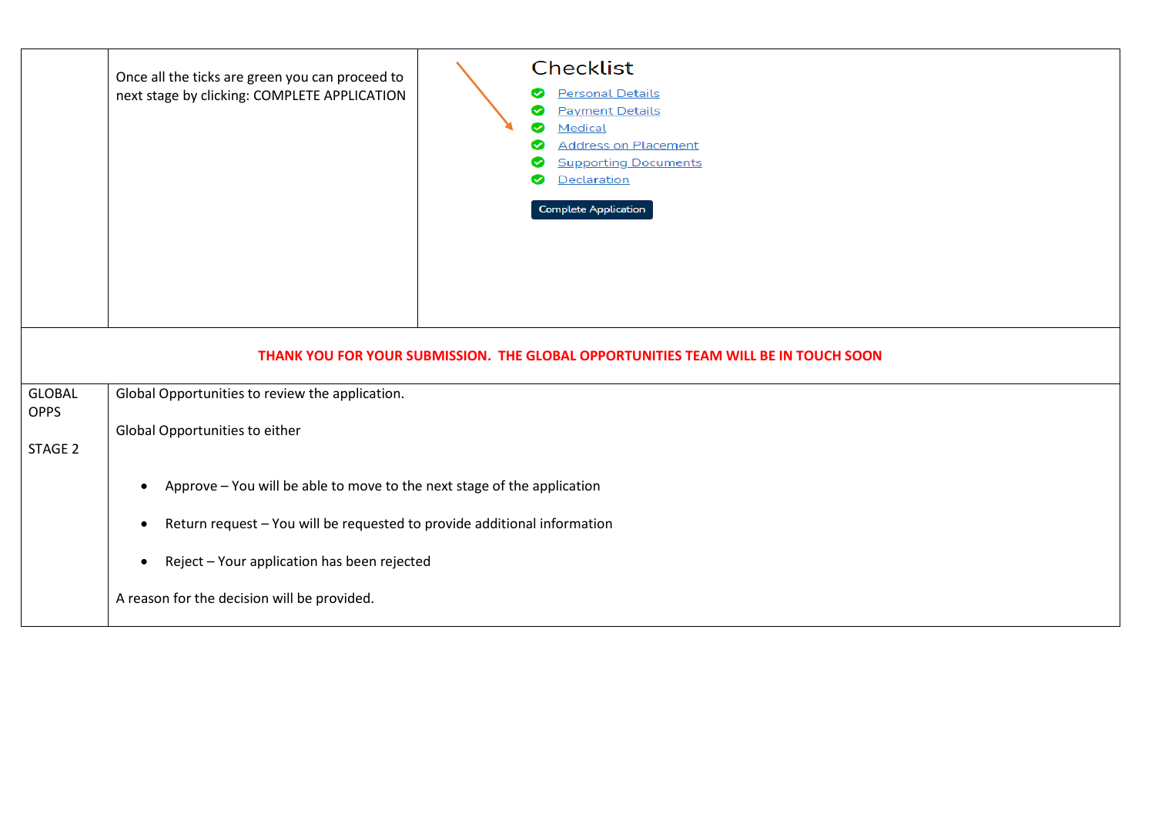|                              | Checklist<br>Once all the ticks are green you can proceed to<br><b>Personal Details</b><br>next stage by clicking: COMPLETE APPLICATION<br>⊗<br><b>Payment Details</b><br>◙<br>Medical<br>◙<br><b>Address on Placement</b><br>ల<br><b>Supporting Documents</b><br>Declaration<br><b>Complete Application</b> |  |  |  |  |  |
|------------------------------|--------------------------------------------------------------------------------------------------------------------------------------------------------------------------------------------------------------------------------------------------------------------------------------------------------------|--|--|--|--|--|
|                              | THANK YOU FOR YOUR SUBMISSION. THE GLOBAL OPPORTUNITIES TEAM WILL BE IN TOUCH SOON                                                                                                                                                                                                                           |  |  |  |  |  |
| <b>GLOBAL</b><br><b>OPPS</b> | Global Opportunities to review the application.                                                                                                                                                                                                                                                              |  |  |  |  |  |
| STAGE 2                      | Global Opportunities to either                                                                                                                                                                                                                                                                               |  |  |  |  |  |
|                              | Approve - You will be able to move to the next stage of the application<br>$\bullet$                                                                                                                                                                                                                         |  |  |  |  |  |
|                              | Return request - You will be requested to provide additional information                                                                                                                                                                                                                                     |  |  |  |  |  |
|                              | Reject - Your application has been rejected                                                                                                                                                                                                                                                                  |  |  |  |  |  |
|                              | A reason for the decision will be provided.                                                                                                                                                                                                                                                                  |  |  |  |  |  |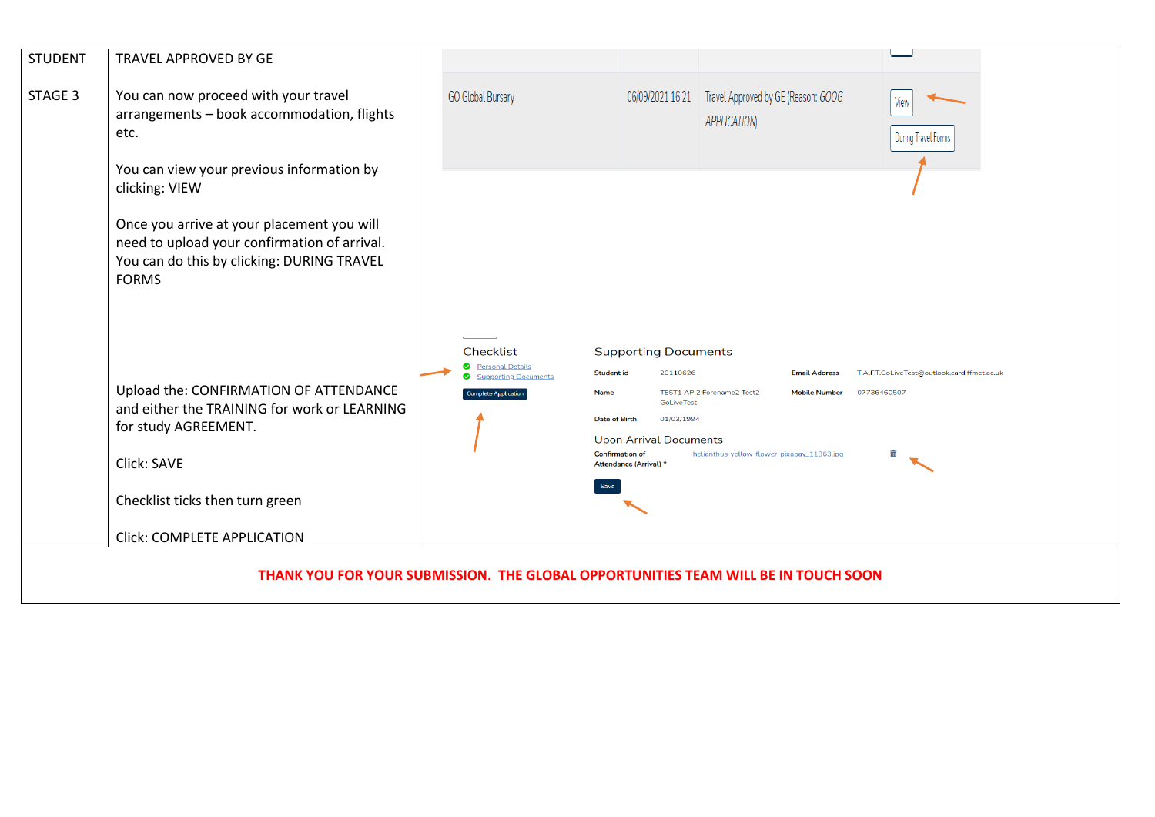| <b>STUDENT</b> | TRAVEL APPROVED BY GE                                                                                                                                    |                                                                                        |                                                                                               |                                                                            |                                                            |
|----------------|----------------------------------------------------------------------------------------------------------------------------------------------------------|----------------------------------------------------------------------------------------|-----------------------------------------------------------------------------------------------|----------------------------------------------------------------------------|------------------------------------------------------------|
| STAGE 3        | You can now proceed with your travel<br>arrangements - book accommodation, flights<br>etc.                                                               | <b>GO Global Bursary</b>                                                               |                                                                                               | 06/09/2021 16:21 Travel Approved by GE (Reason: GOOG<br><b>APPLICATION</b> | View<br>During Travel Forms                                |
|                | You can view your previous information by<br>clicking: VIEW                                                                                              |                                                                                        |                                                                                               |                                                                            |                                                            |
|                | Once you arrive at your placement you will<br>need to upload your confirmation of arrival.<br>You can do this by clicking: DURING TRAVEL<br><b>FORMS</b> |                                                                                        |                                                                                               |                                                                            |                                                            |
|                | Upload the: CONFIRMATION OF ATTENDANCE                                                                                                                   | Checklist<br><b>O</b> Personal Details<br>Supporting Documents<br>Complete Application | <b>Supporting Documents</b><br>20110626<br><b>Student id</b><br>Name<br>GoLiveTest            | <b>Email Address</b><br>TEST1 API2 Forename2 Test2<br><b>Mobile Number</b> | T.A.F.T.GoLiveTest@outlook.cardiffmet.ac.uk<br>07736460507 |
|                | and either the TRAINING for work or LEARNING<br>for study AGREEMENT.                                                                                     |                                                                                        | 01/03/1994<br><b>Date of Birth</b><br><b>Upon Arrival Documents</b><br><b>Confirmation of</b> | helianthus-yellow-flower-pixabay_11863.jpg                                 |                                                            |
|                | Click: SAVE                                                                                                                                              |                                                                                        | Attendance (Arrival) *                                                                        |                                                                            |                                                            |
|                | Checklist ticks then turn green                                                                                                                          |                                                                                        |                                                                                               |                                                                            |                                                            |
|                | <b>Click: COMPLETE APPLICATION</b>                                                                                                                       |                                                                                        |                                                                                               |                                                                            |                                                            |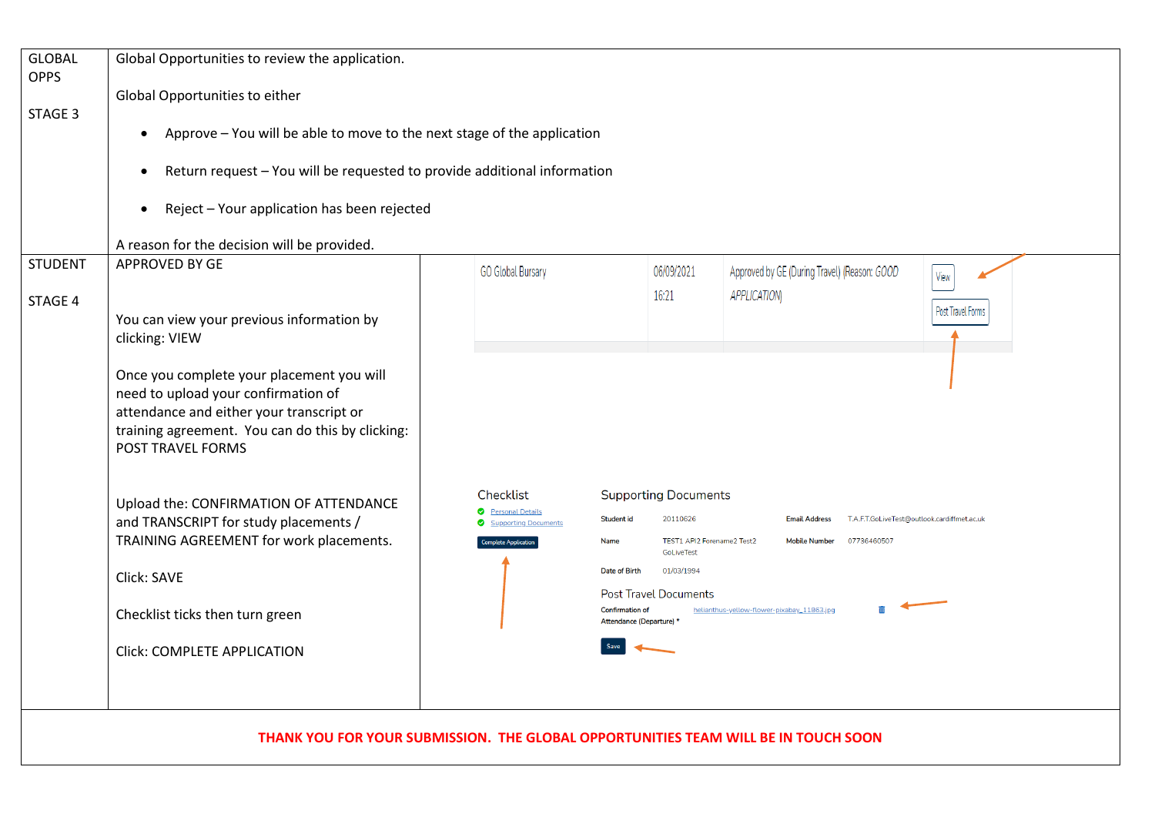| <b>GLOBAL</b><br><b>OPPS</b> | Global Opportunities to review the application.                                                                                                                                                                               |                                                                                                      |                                                                                                      |                                              |                   |  |  |
|------------------------------|-------------------------------------------------------------------------------------------------------------------------------------------------------------------------------------------------------------------------------|------------------------------------------------------------------------------------------------------|------------------------------------------------------------------------------------------------------|----------------------------------------------|-------------------|--|--|
|                              | Global Opportunities to either                                                                                                                                                                                                |                                                                                                      |                                                                                                      |                                              |                   |  |  |
| STAGE 3                      | Approve - You will be able to move to the next stage of the application<br>$\bullet$                                                                                                                                          |                                                                                                      |                                                                                                      |                                              |                   |  |  |
|                              | Return request - You will be requested to provide additional information<br>٠                                                                                                                                                 |                                                                                                      |                                                                                                      |                                              |                   |  |  |
|                              | Reject - Your application has been rejected<br>$\bullet$                                                                                                                                                                      |                                                                                                      |                                                                                                      |                                              |                   |  |  |
|                              | A reason for the decision will be provided.                                                                                                                                                                                   |                                                                                                      |                                                                                                      |                                              |                   |  |  |
| <b>STUDENT</b>               | APPROVED BY GE                                                                                                                                                                                                                | <b>GO Global Bursary</b>                                                                             | 06/09/2021                                                                                           | Approved by GE (During Travel) (Reason: GOOD | View              |  |  |
| STAGE 4                      |                                                                                                                                                                                                                               |                                                                                                      | 16:21                                                                                                | <b>APPLICATION</b>                           |                   |  |  |
|                              | You can view your previous information by                                                                                                                                                                                     |                                                                                                      |                                                                                                      |                                              | Post Travel Forms |  |  |
|                              | clicking: VIEW                                                                                                                                                                                                                |                                                                                                      |                                                                                                      |                                              |                   |  |  |
|                              | Once you complete your placement you will<br>need to upload your confirmation of<br>attendance and either your transcript or<br>training agreement. You can do this by clicking:<br>POST TRAVEL FORMS                         |                                                                                                      |                                                                                                      |                                              |                   |  |  |
|                              |                                                                                                                                                                                                                               | Checklist                                                                                            | <b>Supporting Documents</b>                                                                          |                                              |                   |  |  |
|                              | Upload the: CONFIRMATION OF ATTENDANCE<br><b>O</b> Personal Details<br>and TRANSCRIPT for study placements /<br>Supporting Documents<br>TRAINING AGREEMENT for work placements.<br><b>Complete Application</b><br>Click: SAVE |                                                                                                      | 20110626<br><b>Student id</b><br>T.A.F.T.GoLiveTest@outlook.cardiffmet.ac.uk<br><b>Email Address</b> |                                              |                   |  |  |
|                              |                                                                                                                                                                                                                               |                                                                                                      | TEST1 API2 Forename2 Test2<br>Name<br>GoLiveTest                                                     | <b>Mobile Number</b><br>07736460507          |                   |  |  |
|                              |                                                                                                                                                                                                                               | Date of Birth<br>01/03/1994                                                                          |                                                                                                      |                                              |                   |  |  |
|                              |                                                                                                                                                                                                                               | <b>Post Travel Documents</b><br><b>Confirmation of</b><br>helianthus-yellow-flower-pixabay_11863.jpg |                                                                                                      |                                              |                   |  |  |
|                              | Checklist ticks then turn green                                                                                                                                                                                               |                                                                                                      | Attendance (Departure) *                                                                             |                                              |                   |  |  |
|                              | <b>Click: COMPLETE APPLICATION</b>                                                                                                                                                                                            |                                                                                                      |                                                                                                      |                                              |                   |  |  |
|                              |                                                                                                                                                                                                                               |                                                                                                      |                                                                                                      |                                              |                   |  |  |
|                              |                                                                                                                                                                                                                               |                                                                                                      |                                                                                                      |                                              |                   |  |  |
|                              |                                                                                                                                                                                                                               |                                                                                                      |                                                                                                      |                                              |                   |  |  |

**THANK YOU FOR YOUR SUBMISSION. THE GLOBAL OPPORTUNITIES TEAM WILL BE IN TOUCH SOON**